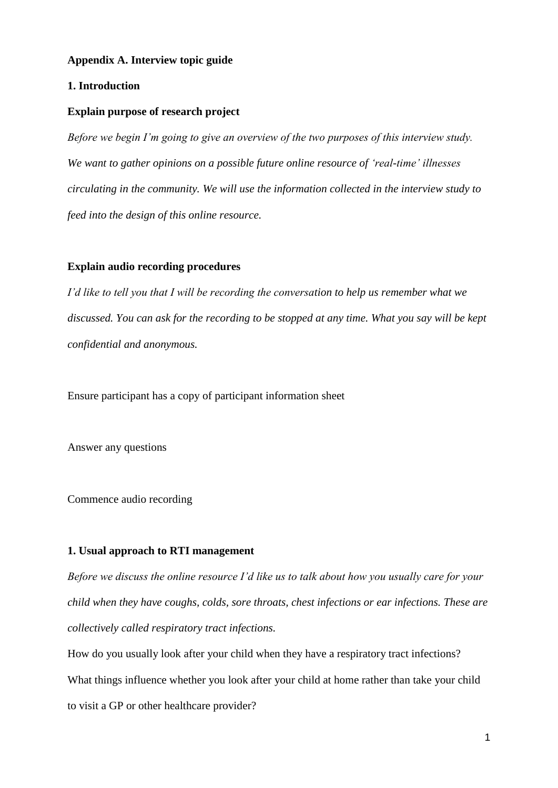### **Appendix A. Interview topic guide**

# **1. Introduction**

#### **Explain purpose of research project**

*Before we begin I'm going to give an overview of the two purposes of this interview study. We want to gather opinions on a possible future online resource of 'real-time' illnesses circulating in the community. We will use the information collected in the interview study to feed into the design of this online resource.*

## **Explain audio recording procedures**

*I'd like to tell you that I will be recording the conversation to help us remember what we discussed. You can ask for the recording to be stopped at any time. What you say will be kept confidential and anonymous.* 

Ensure participant has a copy of participant information sheet

Answer any questions

Commence audio recording

## **1. Usual approach to RTI management**

*Before we discuss the online resource I'd like us to talk about how you usually care for your child when they have coughs, colds, sore throats, chest infections or ear infections. These are collectively called respiratory tract infections.* 

How do you usually look after your child when they have a respiratory tract infections? What things influence whether you look after your child at home rather than take your child to visit a GP or other healthcare provider?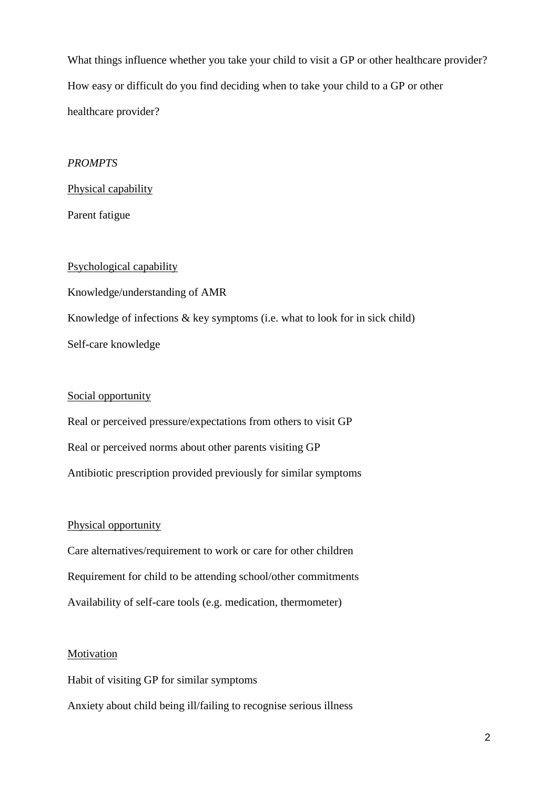What things influence whether you take your child to visit a GP or other healthcare provider? How easy or difficult do you find deciding when to take your child to a GP or other healthcare provider?

### *PROMPTS*

Physical capability

Parent fatigue

## Psychological capability

Knowledge/understanding of AMR Knowledge of infections & key symptoms (i.e. what to look for in sick child) Self-care knowledge

## Social opportunity

Real or perceived pressure/expectations from others to visit GP Real or perceived norms about other parents visiting GP Antibiotic prescription provided previously for similar symptoms

#### Physical opportunity

Care alternatives/requirement to work or care for other children Requirement for child to be attending school/other commitments Availability of self-care tools (e.g. medication, thermometer)

#### Motivation

Habit of visiting GP for similar symptoms Anxiety about child being ill/failing to recognise serious illness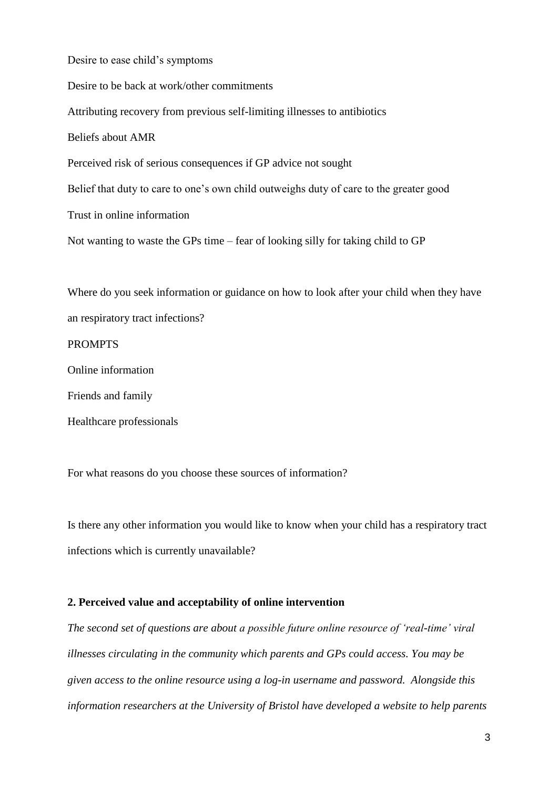Desire to ease child's symptoms

Desire to be back at work/other commitments Attributing recovery from previous self-limiting illnesses to antibiotics Beliefs about AMR Perceived risk of serious consequences if GP advice not sought Belief that duty to care to one's own child outweighs duty of care to the greater good Trust in online information Not wanting to waste the GPs time – fear of looking silly for taking child to GP

Where do you seek information or guidance on how to look after your child when they have an respiratory tract infections?

# PROMPTS

Online information

Friends and family

Healthcare professionals

For what reasons do you choose these sources of information?

Is there any other information you would like to know when your child has a respiratory tract infections which is currently unavailable?

## **2. Perceived value and acceptability of online intervention**

*The second set of questions are about a possible future online resource of 'real-time' viral illnesses circulating in the community which parents and GPs could access. You may be given access to the online resource using a log-in username and password. Alongside this information researchers at the University of Bristol have developed a website to help parents*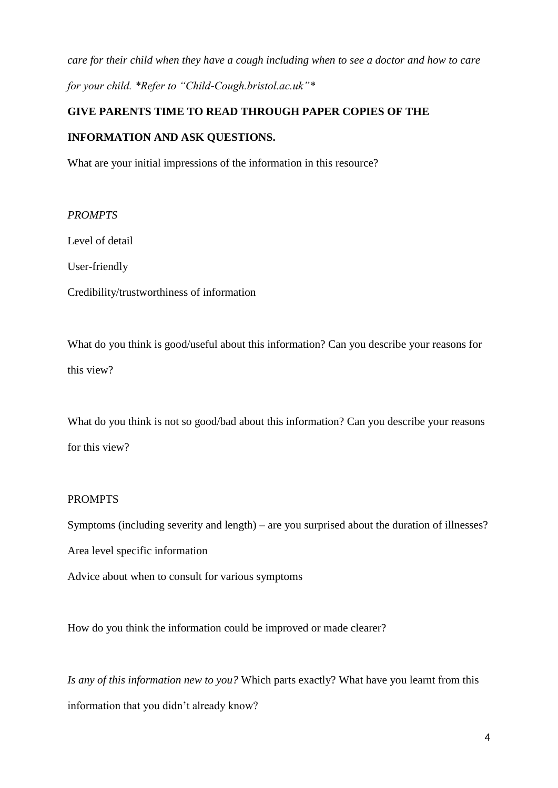*care for their child when they have a cough including when to see a doctor and how to care for your child. \*Refer to "Child-Cough.bristol.ac.uk"\**

# **GIVE PARENTS TIME TO READ THROUGH PAPER COPIES OF THE**

# **INFORMATION AND ASK QUESTIONS.**

What are your initial impressions of the information in this resource?

## *PROMPTS*

Level of detail

User-friendly

Credibility/trustworthiness of information

What do you think is good/useful about this information? Can you describe your reasons for this view?

What do you think is not so good/bad about this information? Can you describe your reasons for this view?

## PROMPTS

Symptoms (including severity and length) – are you surprised about the duration of illnesses? Area level specific information Advice about when to consult for various symptoms

How do you think the information could be improved or made clearer?

*Is any of this information new to you?* Which parts exactly? What have you learnt from this information that you didn't already know?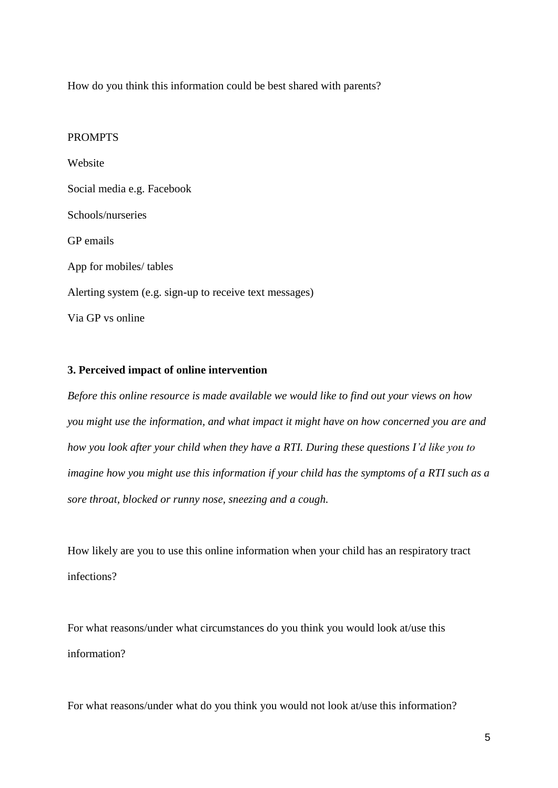How do you think this information could be best shared with parents?

### PROMPTS

Website Social media e.g. Facebook Schools/nurseries GP emails App for mobiles/ tables Alerting system (e.g. sign-up to receive text messages) Via GP vs online

### **3. Perceived impact of online intervention**

*Before this online resource is made available we would like to find out your views on how you might use the information, and what impact it might have on how concerned you are and how you look after your child when they have a RTI. During these questions I'd like you to imagine how you might use this information if your child has the symptoms of a RTI such as a sore throat, blocked or runny nose, sneezing and a cough.*

How likely are you to use this online information when your child has an respiratory tract infections?

For what reasons/under what circumstances do you think you would look at/use this information?

For what reasons/under what do you think you would not look at/use this information?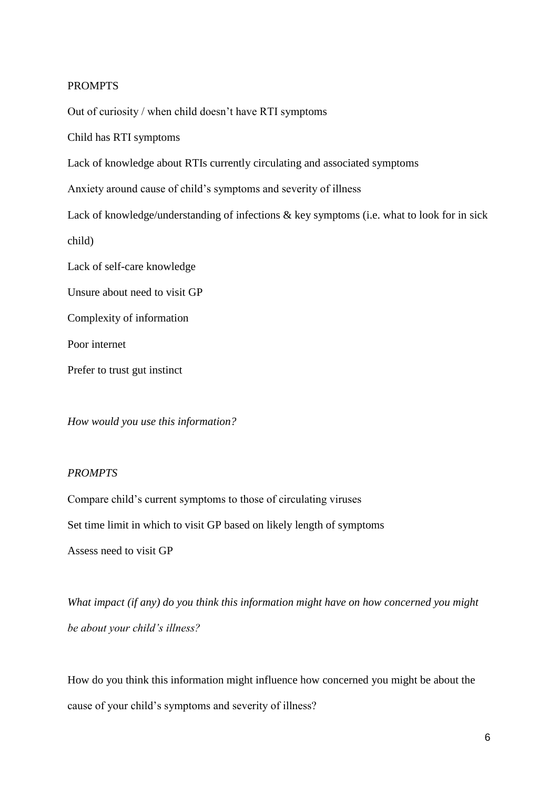### PROMPTS

Out of curiosity / when child doesn't have RTI symptoms

Child has RTI symptoms

Lack of knowledge about RTIs currently circulating and associated symptoms

Anxiety around cause of child's symptoms and severity of illness

Lack of knowledge/understanding of infections & key symptoms (i.e. what to look for in sick child)

Lack of self-care knowledge

Unsure about need to visit GP

Complexity of information

Poor internet

Prefer to trust gut instinct

*How would you use this information?* 

### *PROMPTS*

Compare child's current symptoms to those of circulating viruses Set time limit in which to visit GP based on likely length of symptoms Assess need to visit GP

*What impact (if any) do you think this information might have on how concerned you might be about your child's illness?* 

How do you think this information might influence how concerned you might be about the cause of your child's symptoms and severity of illness?